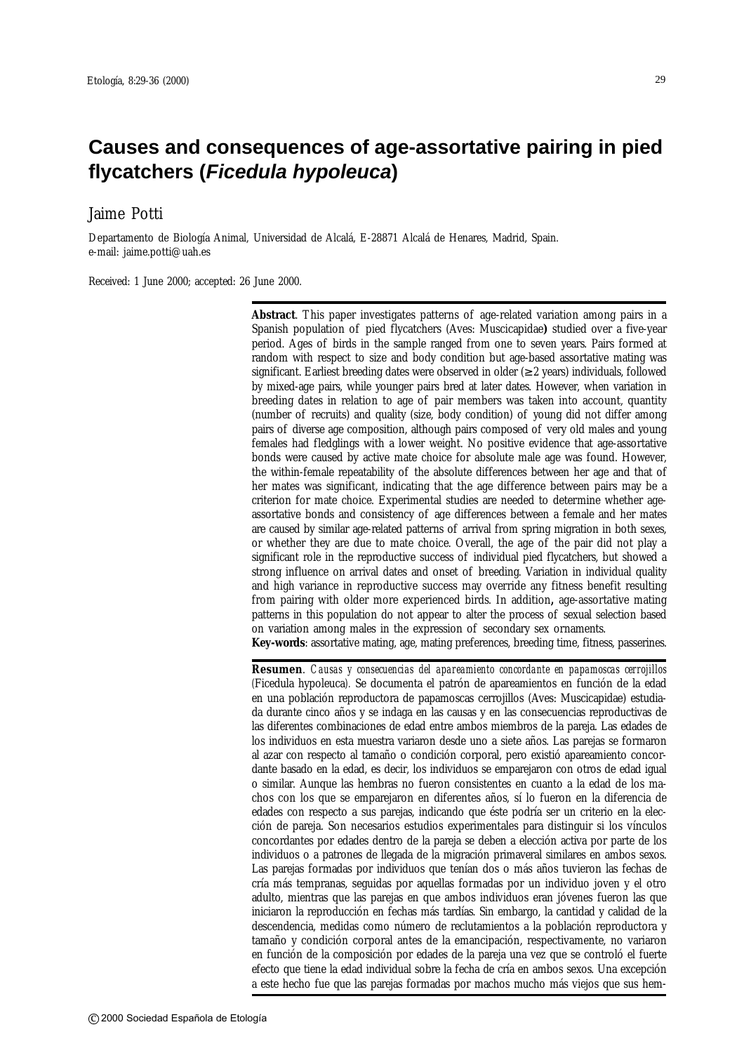# **Causes and consequences of age-assortative pairing in pied flycatchers (***Ficedula hypoleuca***)**

# Jaime Potti

Departamento de Biología Animal, Universidad de Alcalá, E-28871 Alcalá de Henares, Madrid, Spain. e-mail: jaime.potti@uah.es

Received: 1 June 2000; accepted: 26 June 2000.

**Abstract**. This paper investigates patterns of age-related variation among pairs in a Spanish population of pied flycatchers (Aves: Muscicapidae**)** studied over a five-year period. Ages of birds in the sample ranged from one to seven years. Pairs formed at random with respect to size and body condition but age-based assortative mating was significant. Earliest breeding dates were observed in older  $(\geq 2 \text{ years})$  individuals, followed by mixed-age pairs, while younger pairs bred at later dates. However, when variation in breeding dates in relation to age of pair members was taken into account, quantity (number of recruits) and quality (size, body condition) of young did not differ among pairs of diverse age composition, although pairs composed of very old males and young females had fledglings with a lower weight. No positive evidence that age-assortative bonds were caused by active mate choice for absolute male age was found. However, the within-female repeatability of the absolute differences between her age and that of her mates was significant, indicating that the age difference between pairs may be a criterion for mate choice. Experimental studies are needed to determine whether ageassortative bonds and consistency of age differences between a female and her mates are caused by similar age-related patterns of arrival from spring migration in both sexes, or whether they are due to mate choice. Overall, the age of the pair did not play a significant role in the reproductive success of individual pied flycatchers, but showed a strong influence on arrival dates and onset of breeding. Variation in individual quality and high variance in reproductive success may override any fitness benefit resulting from pairing with older more experienced birds. In addition**,** age-assortative mating patterns in this population do not appear to alter the process of sexual selection based on variation among males in the expression of secondary sex ornaments. **Key-words**: assortative mating, age, mating preferences, breeding time, fitness, passerines.

**Resumen**. *Causas y consecuencias del apareamiento concordante en papamoscas cerrojillos (*Ficedula hypoleuca*).* Se documenta el patrón de apareamientos en función de la edad en una población reproductora de papamoscas cerrojillos (Aves: Muscicapidae) estudiada durante cinco años y se indaga en las causas y en las consecuencias reproductivas de las diferentes combinaciones de edad entre ambos miembros de la pareja. Las edades de los individuos en esta muestra variaron desde uno a siete años. Las parejas se formaron al azar con respecto al tamaño o condición corporal, pero existió apareamiento concordante basado en la edad, es decir, los individuos se emparejaron con otros de edad igual o similar. Aunque las hembras no fueron consistentes en cuanto a la edad de los machos con los que se emparejaron en diferentes años, sí lo fueron en la diferencia de edades con respecto a sus parejas, indicando que éste podría ser un criterio en la elección de pareja. Son necesarios estudios experimentales para distinguir si los vínculos concordantes por edades dentro de la pareja se deben a elección activa por parte de los individuos o a patrones de llegada de la migración primaveral similares en ambos sexos. Las parejas formadas por individuos que tenían dos o más años tuvieron las fechas de cría más tempranas, seguidas por aquellas formadas por un individuo joven y el otro adulto, mientras que las parejas en que ambos individuos eran jóvenes fueron las que iniciaron la reproducción en fechas más tardías. Sin embargo, la cantidad y calidad de la descendencia, medidas como número de reclutamientos a la población reproductora y tamaño y condición corporal antes de la emancipación, respectivamente, no variaron en función de la composición por edades de la pareja una vez que se controló el fuerte efecto que tiene la edad individual sobre la fecha de cría en ambos sexos. Una excepción a este hecho fue que las parejas formadas por machos mucho más viejos que sus hem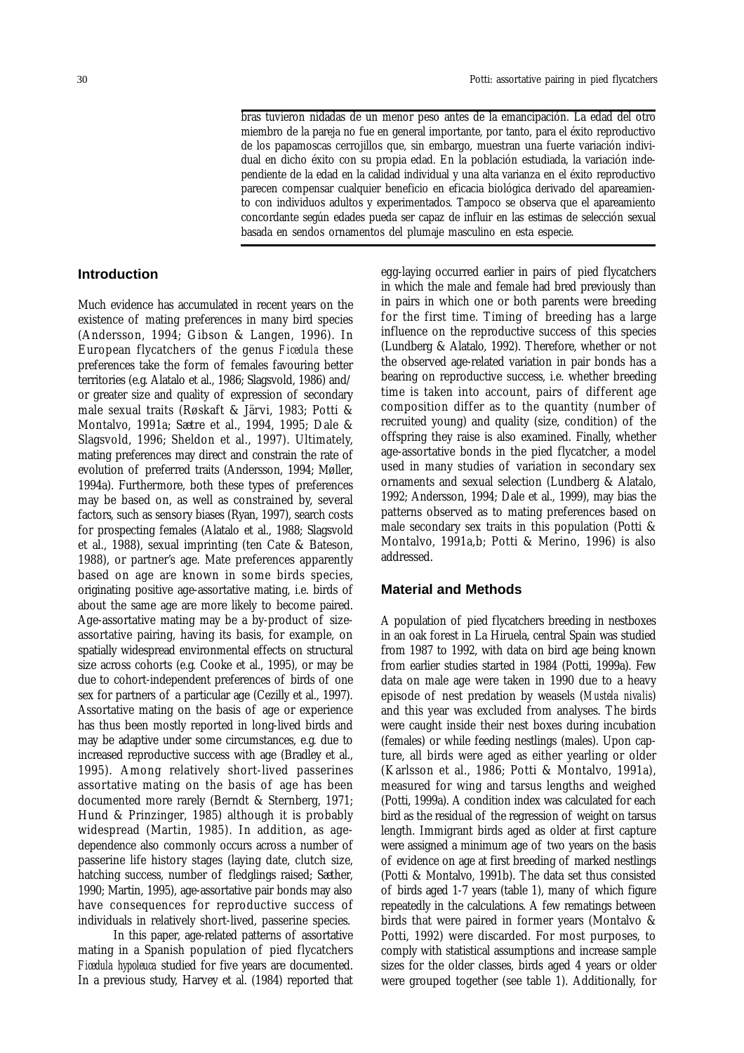bras tuvieron nidadas de un menor peso antes de la emancipación. La edad del otro miembro de la pareja no fue en general importante, por tanto, para el éxito reproductivo de los papamoscas cerrojillos que, sin embargo, muestran una fuerte variación individual en dicho éxito con su propia edad. En la población estudiada, la variación independiente de la edad en la calidad individual y una alta varianza en el éxito reproductivo parecen compensar cualquier beneficio en eficacia biológica derivado del apareamiento con individuos adultos y experimentados. Tampoco se observa que el apareamiento concordante según edades pueda ser capaz de influir en las estimas de selección sexual basada en sendos ornamentos del plumaje masculino en esta especie.

#### **Introduction**

Much evidence has accumulated in recent years on the existence of mating preferences in many bird species (Andersson, 1994; Gibson & Langen, 1996). In European flycatchers of the genus *Ficedula* these preferences take the form of females favouring better territories (e.g. Alatalo et al., 1986; Slagsvold, 1986) and/ or greater size and quality of expression of secondary male sexual traits (Røskaft & Järvi, 1983; Potti & Montalvo, 1991a; Sætre et al., 1994, 1995; Dale & Slagsvold, 1996; Sheldon et al., 1997). Ultimately, mating preferences may direct and constrain the rate of evolution of preferred traits (Andersson, 1994; Møller, 1994a). Furthermore, both these types of preferences may be based on, as well as constrained by, several factors, such as sensory biases (Ryan, 1997), search costs for prospecting females (Alatalo et al., 1988; Slagsvold et al., 1988), sexual imprinting (ten Cate & Bateson, 1988), or partner's age. Mate preferences apparently based on age are known in some birds species, originating positive age-assortative mating, i.e. birds of about the same age are more likely to become paired. Age-assortative mating may be a by-product of sizeassortative pairing, having its basis, for example, on spatially widespread environmental effects on structural size across cohorts (e.g. Cooke et al., 1995), or may be due to cohort-independent preferences of birds of one sex for partners of a particular age (Cezilly et al., 1997). Assortative mating on the basis of age or experience has thus been mostly reported in long-lived birds and may be adaptive under some circumstances, e.g. due to increased reproductive success with age (Bradley et al., 1995). Among relatively short-lived passerines assortative mating on the basis of age has been documented more rarely (Berndt & Sternberg, 1971; Hund & Prinzinger, 1985) although it is probably widespread (Martin, 1985). In addition, as agedependence also commonly occurs across a number of passerine life history stages (laying date, clutch size, hatching success, number of fledglings raised; Sæther, 1990; Martin, 1995), age-assortative pair bonds may also have consequences for reproductive success of individuals in relatively short-lived, passerine species.

In this paper, age-related patterns of assortative mating in a Spanish population of pied flycatchers *Ficedula hypoleuca* studied for five years are documented. In a previous study, Harvey et al. (1984) reported that

egg-laying occurred earlier in pairs of pied flycatchers in which the male and female had bred previously than in pairs in which one or both parents were breeding for the first time. Timing of breeding has a large influence on the reproductive success of this species (Lundberg & Alatalo, 1992). Therefore, whether or not the observed age-related variation in pair bonds has a bearing on reproductive success, i.e. whether breeding time is taken into account, pairs of different age composition differ as to the quantity (number of recruited young) and quality (size, condition) of the offspring they raise is also examined. Finally, whether age-assortative bonds in the pied flycatcher, a model used in many studies of variation in secondary sex ornaments and sexual selection (Lundberg & Alatalo, 1992; Andersson, 1994; Dale et al., 1999), may bias the patterns observed as to mating preferences based on male secondary sex traits in this population (Potti & Montalvo, 1991a,b; Potti & Merino, 1996) is also addressed.

## **Material and Methods**

A population of pied flycatchers breeding in nestboxes in an oak forest in La Hiruela, central Spain was studied from 1987 to 1992, with data on bird age being known from earlier studies started in 1984 (Potti, 1999a). Few data on male age were taken in 1990 due to a heavy episode of nest predation by weasels (*Mustela nivalis*) and this year was excluded from analyses. The birds were caught inside their nest boxes during incubation (females) or while feeding nestlings (males). Upon capture, all birds were aged as either yearling or older (Karlsson et al., 1986; Potti & Montalvo, 1991a), measured for wing and tarsus lengths and weighed (Potti, 1999a). A condition index was calculated for each bird as the residual of the regression of weight on tarsus length. Immigrant birds aged as older at first capture were assigned a minimum age of two years on the basis of evidence on age at first breeding of marked nestlings (Potti & Montalvo, 1991b). The data set thus consisted of birds aged 1-7 years (table 1), many of which figure repeatedly in the calculations. A few rematings between birds that were paired in former years (Montalvo & Potti, 1992) were discarded. For most purposes, to comply with statistical assumptions and increase sample sizes for the older classes, birds aged 4 years or older were grouped together (see table 1). Additionally, for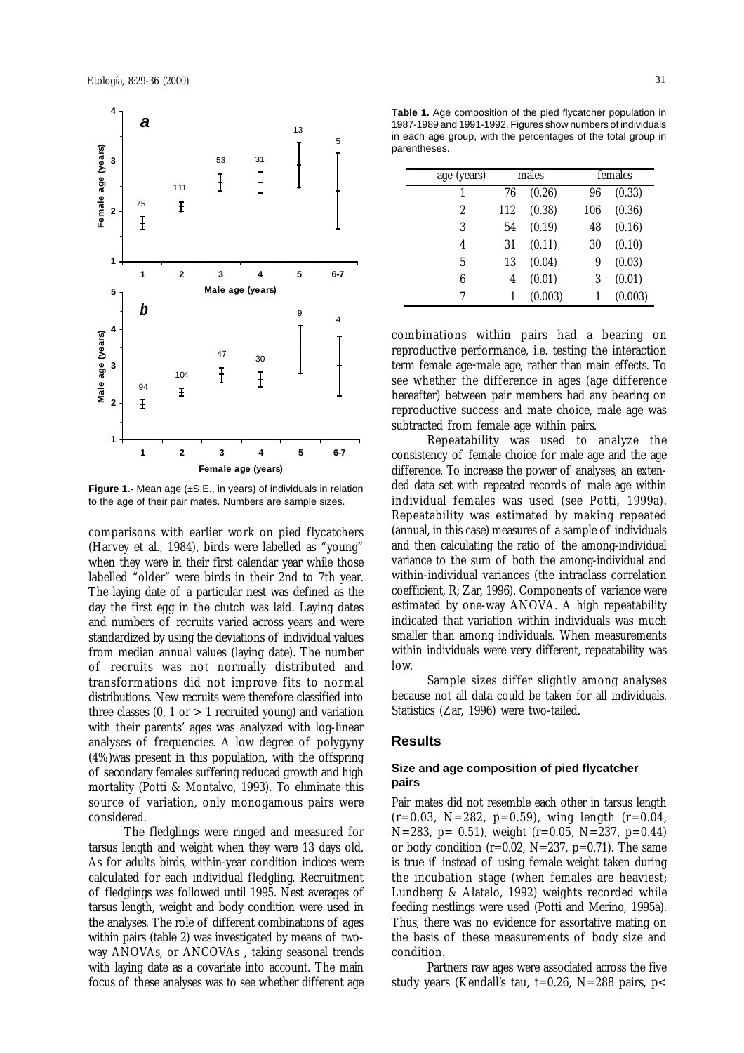

**Figure 1.-** Mean age (±S.E., in years) of individuals in relation to the age of their pair mates. Numbers are sample sizes.

comparisons with earlier work on pied flycatchers (Harvey et al., 1984), birds were labelled as "young" when they were in their first calendar year while those labelled "older" were birds in their 2nd to 7th year. The laying date of a particular nest was defined as the day the first egg in the clutch was laid. Laying dates and numbers of recruits varied across years and were standardized by using the deviations of individual values from median annual values (laying date). The number of recruits was not normally distributed and transformations did not improve fits to normal distributions. New recruits were therefore classified into three classes  $(0, 1 \text{ or } > 1 \text{ recruited young})$  and variation with their parents' ages was analyzed with log-linear analyses of frequencies. A low degree of polygyny (4%)was present in this population, with the offspring of secondary females suffering reduced growth and high mortality (Potti & Montalvo, 1993). To eliminate this source of variation, only monogamous pairs were considered.

The fledglings were ringed and measured for tarsus length and weight when they were 13 days old. As for adults birds, within-year condition indices were calculated for each individual fledgling. Recruitment of fledglings was followed until 1995. Nest averages of tarsus length, weight and body condition were used in the analyses. The role of different combinations of ages within pairs (table 2) was investigated by means of twoway ANOVAs, or ANCOVAs , taking seasonal trends with laying date as a covariate into account. The main focus of these analyses was to see whether different age

**Table 1.** Age composition of the pied flycatcher population in 1987-1989 and 1991-1992. Figures show numbers of individuals in each age group, with the percentages of the total group in parentheses.

| age (years)      | males |         | females |         |
|------------------|-------|---------|---------|---------|
| 1                | 76    | (0.26)  | 96      | (0.33)  |
| $\boldsymbol{2}$ | 112   | (0.38)  | 106     | (0.36)  |
| 3                | 54    | (0.19)  | 48      | (0.16)  |
| 4                | 31    | (0.11)  | 30      | (0.10)  |
| 5                | 13    | (0.04)  | 9       | (0.03)  |
| 6                | 4     | (0.01)  | 3       | (0.01)  |
| 7                |       | (0.003) |         | (0.003) |

combinations within pairs had a bearing on reproductive performance, i.e. testing the interaction term female age\*male age, rather than main effects. To see whether the difference in ages (age difference hereafter) between pair members had any bearing on reproductive success and mate choice, male age was subtracted from female age within pairs.

Repeatability was used to analyze the consistency of female choice for male age and the age difference. To increase the power of analyses, an extended data set with repeated records of male age within individual females was used (see Potti, 1999a). Repeatability was estimated by making repeated (annual, in this case) measures of a sample of individuals and then calculating the ratio of the among-individual variance to the sum of both the among-individual and within-individual variances (the intraclass correlation coefficient, R; Zar, 1996). Components of variance were estimated by one-way ANOVA. A high repeatability indicated that variation within individuals was much smaller than among individuals. When measurements within individuals were very different, repeatability was low.

Sample sizes differ slightly among analyses because not all data could be taken for all individuals. Statistics (Zar, 1996) were two-tailed.

### **Results**

#### **Size and age composition of pied flycatcher pairs**

Pair mates did not resemble each other in tarsus length  $(r=0.03, N=282, p=0.59)$ , wing length  $(r=0.04, N=282)$ N=283, p= 0.51), weight (r=0.05, N=237, p=0.44) or body condition ( $r=0.02$ ,  $N=237$ ,  $p=0.71$ ). The same is true if instead of using female weight taken during the incubation stage (when females are heaviest; Lundberg & Alatalo, 1992) weights recorded while feeding nestlings were used (Potti and Merino, 1995a). Thus, there was no evidence for assortative mating on the basis of these measurements of body size and condition.

Partners raw ages were associated across the five study years (Kendall's tau, t=0.26, N=288 pairs,  $p$ <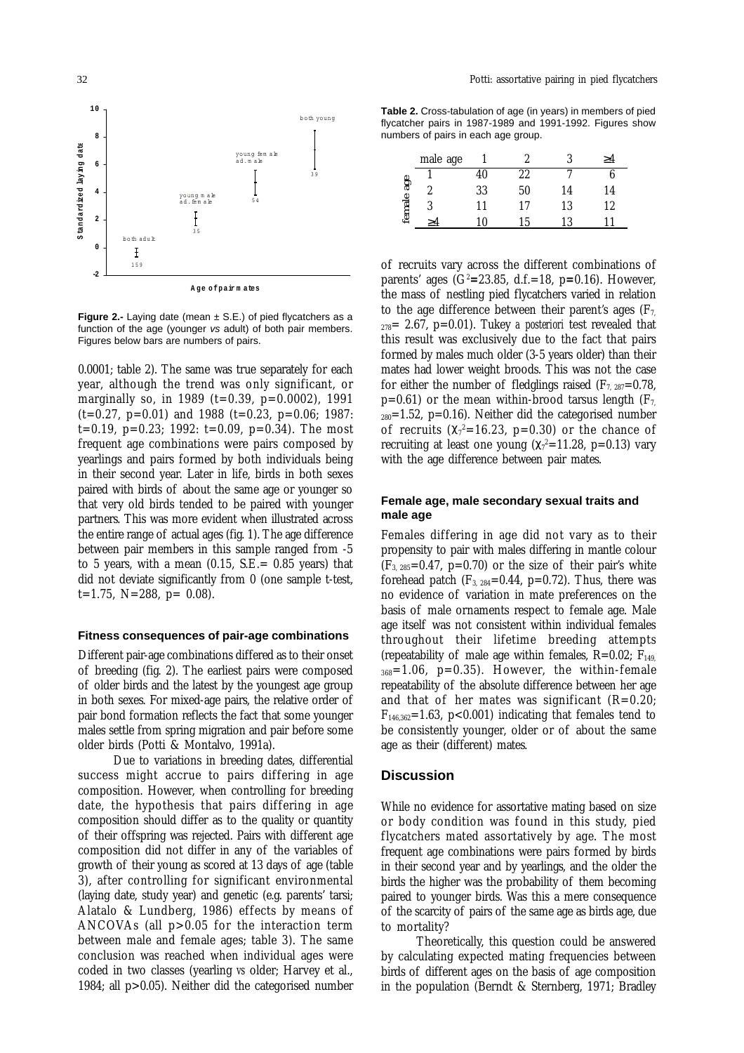

**Figure 2.-** Laying date (mean  $\pm$  S.E.) of pied flycatchers as a function of the age (younger *vs* adult) of both pair members. Figures below bars are numbers of pairs.

0.0001; table 2). The same was true separately for each year, although the trend was only significant, or marginally so, in 1989 ( $t=0.39$ ,  $p=0.0002$ ), 1991  $(t=0.27, p=0.01)$  and 1988  $(t=0.23, p=0.06; 1987)$  $t=0.19$ ,  $p=0.23$ ; 1992:  $t=0.09$ ,  $p=0.34$ ). The most frequent age combinations were pairs composed by yearlings and pairs formed by both individuals being in their second year. Later in life, birds in both sexes paired with birds of about the same age or younger so that very old birds tended to be paired with younger partners. This was more evident when illustrated across the entire range of actual ages (fig. 1). The age difference between pair members in this sample ranged from -5 to 5 years, with a mean  $(0.15, S.E. = 0.85$  years) that did not deviate significantly from 0 (one sample t-test,  $t=1.75$ , N=288, p= 0.08).

### **Fitness consequences of pair-age combinations**

Different pair-age combinations differed as to their onset of breeding (fig. 2). The earliest pairs were composed of older birds and the latest by the youngest age group in both sexes. For mixed-age pairs, the relative order of pair bond formation reflects the fact that some younger males settle from spring migration and pair before some older birds (Potti & Montalvo, 1991a).

Due to variations in breeding dates, differential success might accrue to pairs differing in age composition. However, when controlling for breeding date, the hypothesis that pairs differing in age composition should differ as to the quality or quantity of their offspring was rejected. Pairs with different age composition did not differ in any of the variables of growth of their young as scored at 13 days of age (table 3), after controlling for significant environmental (laying date, study year) and genetic (e.g. parents' tarsi; Alatalo & Lundberg, 1986) effects by means of ANCOVAs (all p>0.05 for the interaction term between male and female ages; table 3). The same conclusion was reached when individual ages were coded in two classes (yearling *vs* older; Harvey et al., 1984; all p>0.05). Neither did the categorised number

**Table 2.** Cross-tabulation of age (in years) in members of pied flycatcher pairs in 1987-1989 and 1991-1992. Figures show numbers of pairs in each age group.

|            | male age |    | 2  | Q  | ≥4 |
|------------|----------|----|----|----|----|
|            |          | 40 | 22 |    |    |
| female age | 2        | 33 | 50 | 14 | 14 |
|            | १        | 11 | 17 | 13 | 12 |
|            |          | 10 | 15 | 13 |    |

of recruits vary across the different combinations of parents' ages (G2 **=**23.85, d.f.=18, p**=**0.16). However, the mass of nestling pied flycatchers varied in relation to the age difference between their parent's ages ( $F_7$ ,  $_{278}=2.67$ ,  $p=0.01$ ). Tukey *a posteriori* test revealed that this result was exclusively due to the fact that pairs formed by males much older (3-5 years older) than their mates had lower weight broods. This was not the case for either the number of fledglings raised ( $F_{7, 287}=0.78$ ,  $p=0.61$ ) or the mean within-brood tarsus length (F<sub>7,</sub>  $_{280}=1.52$ , p=0.16). Neither did the categorised number of recruits  $(\chi_7^2=16.23, p=0.30)$  or the chance of recruiting at least one young  $(\chi_{7}^{2}=11.28, p=0.13)$  vary with the age difference between pair mates.

#### **Female age, male secondary sexual traits and male age**

Females differing in age did not vary as to their propensity to pair with males differing in mantle colour  $(F_{3, 285}=0.47, p=0.70)$  or the size of their pair's white forehead patch  $(F_{3, 284}=0.44, p=0.72)$ . Thus, there was no evidence of variation in mate preferences on the basis of male ornaments respect to female age. Male age itself was not consistent within individual females throughout their lifetime breeding attempts (repeatability of male age within females,  $R=0.02$ ;  $F_{149}$  $_{368}=1.06$ , p=0.35). However, the within-female repeatability of the absolute difference between her age and that of her mates was significant  $(R=0.20)$ ;  $F_{146,362}=1.63$ , p<0.001) indicating that females tend to be consistently younger, older or of about the same age as their (different) mates.

#### **Discussion**

While no evidence for assortative mating based on size or body condition was found in this study, pied flycatchers mated assortatively by age. The most frequent age combinations were pairs formed by birds in their second year and by yearlings, and the older the birds the higher was the probability of them becoming paired to younger birds. Was this a mere consequence of the scarcity of pairs of the same age as birds age, due to mortality?

Theoretically, this question could be answered by calculating expected mating frequencies between birds of different ages on the basis of age composition in the population (Berndt & Sternberg, 1971; Bradley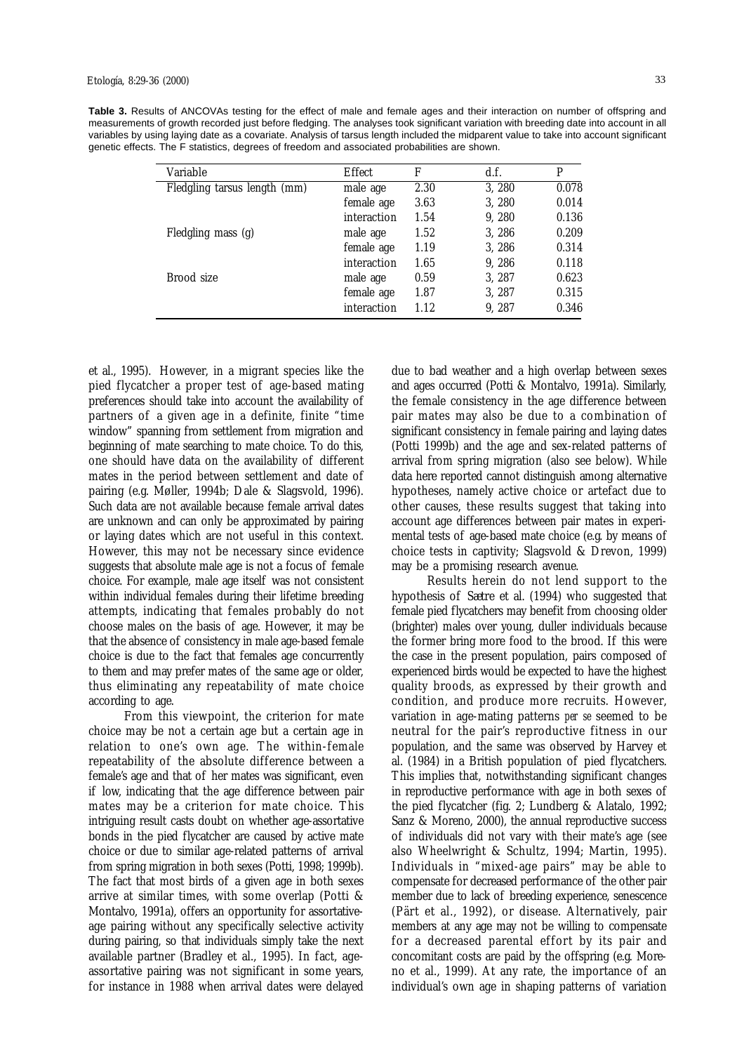**Table 3.** Results of ANCOVAs testing for the effect of male and female ages and their interaction on number of offspring and measurements of growth recorded just before fledging. The analyses took significant variation with breeding date into account in all variables by using laying date as a covariate. Analysis of tarsus length included the midparent value to take into account significant genetic effects. The F statistics, degrees of freedom and associated probabilities are shown.

| Variable                     | Effect      | F    | d.f.   | P     |
|------------------------------|-------------|------|--------|-------|
| Fledgling tarsus length (mm) | male age    | 2.30 | 3, 280 | 0.078 |
|                              | female age  | 3.63 | 3, 280 | 0.014 |
|                              | interaction | 1.54 | 9, 280 | 0.136 |
| Fledgling mass (g)           | male age    | 1.52 | 3, 286 | 0.209 |
|                              | female age  | 1.19 | 3, 286 | 0.314 |
|                              | interaction | 1.65 | 9, 286 | 0.118 |
| Brood size                   | male age    | 0.59 | 3, 287 | 0.623 |
|                              | female age  | 1.87 | 3, 287 | 0.315 |
|                              | interaction | 1.12 | 9, 287 | 0.346 |

et al., 1995). However, in a migrant species like the pied flycatcher a proper test of age-based mating preferences should take into account the availability of partners of a given age in a definite, finite "time window" spanning from settlement from migration and beginning of mate searching to mate choice. To do this, one should have data on the availability of different mates in the period between settlement and date of pairing (e.g. Møller, 1994b; Dale & Slagsvold, 1996). Such data are not available because female arrival dates are unknown and can only be approximated by pairing or laying dates which are not useful in this context. However, this may not be necessary since evidence suggests that absolute male age is not a focus of female choice. For example, male age itself was not consistent within individual females during their lifetime breeding attempts, indicating that females probably do not choose males on the basis of age. However, it may be that the absence of consistency in male age-based female choice is due to the fact that females age concurrently to them and may prefer mates of the same age or older, thus eliminating any repeatability of mate choice according to age.

From this viewpoint, the criterion for mate choice may be not a certain age but a certain age in relation to one's own age. The within-female repeatability of the absolute difference between a female's age and that of her mates was significant, even if low, indicating that the age difference between pair mates may be a criterion for mate choice. This intriguing result casts doubt on whether age-assortative bonds in the pied flycatcher are caused by active mate choice or due to similar age-related patterns of arrival from spring migration in both sexes (Potti, 1998; 1999b). The fact that most birds of a given age in both sexes arrive at similar times, with some overlap (Potti & Montalvo, 1991a), offers an opportunity for assortativeage pairing without any specifically selective activity during pairing, so that individuals simply take the next available partner (Bradley et al., 1995). In fact, ageassortative pairing was not significant in some years, for instance in 1988 when arrival dates were delayed

due to bad weather and a high overlap between sexes and ages occurred (Potti & Montalvo, 1991a). Similarly, the female consistency in the age difference between pair mates may also be due to a combination of significant consistency in female pairing and laying dates (Potti 1999b) and the age and sex-related patterns of arrival from spring migration (also see below). While data here reported cannot distinguish among alternative hypotheses, namely active choice or artefact due to other causes, these results suggest that taking into account age differences between pair mates in experimental tests of age-based mate choice (e.g. by means of choice tests in captivity; Slagsvold & Drevon, 1999) may be a promising research avenue.

Results herein do not lend support to the hypothesis of Sætre et al. (1994) who suggested that female pied flycatchers may benefit from choosing older (brighter) males over young, duller individuals because the former bring more food to the brood. If this were the case in the present population, pairs composed of experienced birds would be expected to have the highest quality broods, as expressed by their growth and condition, and produce more recruits. However, variation in age-mating patterns *per se* seemed to be neutral for the pair's reproductive fitness in our population, and the same was observed by Harvey et al. (1984) in a British population of pied flycatchers. This implies that, notwithstanding significant changes in reproductive performance with age in both sexes of the pied flycatcher (fig. 2; Lundberg & Alatalo, 1992; Sanz & Moreno, 2000), the annual reproductive success of individuals did not vary with their mate's age (see also Wheelwright & Schultz, 1994; Martin, 1995). Individuals in "mixed-age pairs" may be able to compensate for decreased performance of the other pair member due to lack of breeding experience, senescence (Pärt et al., 1992), or disease. Alternatively, pair members at any age may not be willing to compensate for a decreased parental effort by its pair and concomitant costs are paid by the offspring (e.g. Moreno et al., 1999). At any rate, the importance of an individual's own age in shaping patterns of variation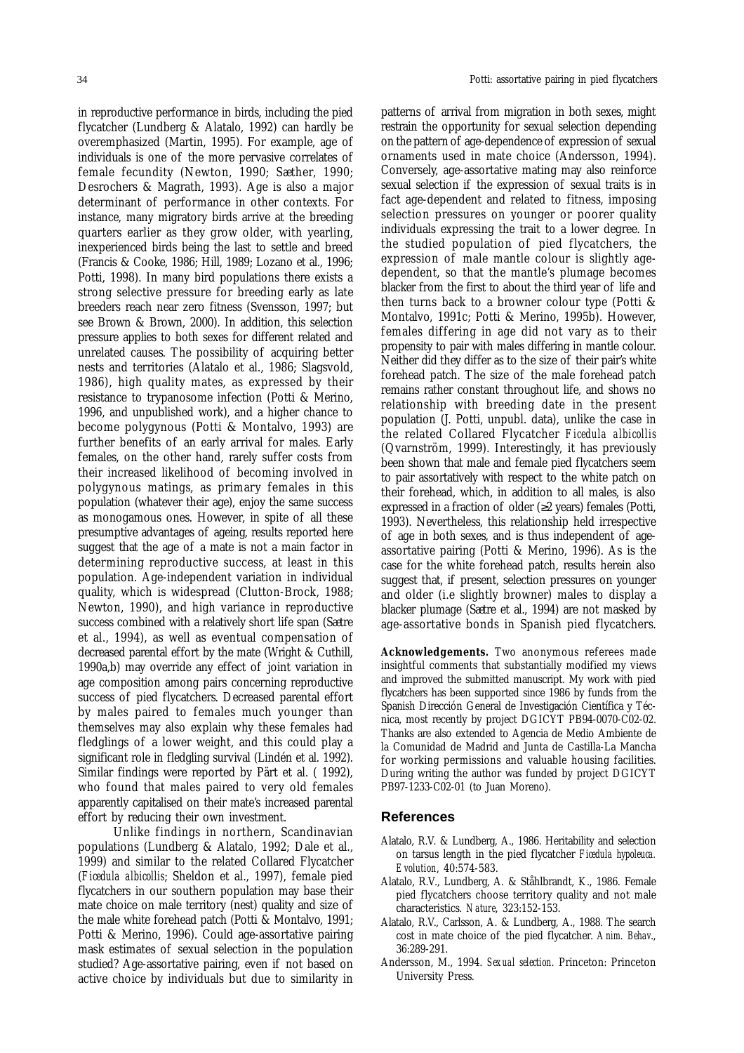in reproductive performance in birds, including the pied flycatcher (Lundberg & Alatalo, 1992) can hardly be overemphasized (Martin, 1995). For example, age of individuals is one of the more pervasive correlates of female fecundity (Newton, 1990; Sæther, 1990; Desrochers & Magrath, 1993). Age is also a major determinant of performance in other contexts. For instance, many migratory birds arrive at the breeding quarters earlier as they grow older, with yearling, inexperienced birds being the last to settle and breed (Francis & Cooke, 1986; Hill, 1989; Lozano et al., 1996; Potti, 1998). In many bird populations there exists a strong selective pressure for breeding early as late breeders reach near zero fitness (Svensson, 1997; but see Brown & Brown, 2000). In addition, this selection pressure applies to both sexes for different related and unrelated causes. The possibility of acquiring better nests and territories (Alatalo et al., 1986; Slagsvold, 1986), high quality mates, as expressed by their resistance to trypanosome infection (Potti & Merino, 1996, and unpublished work), and a higher chance to become polygynous (Potti & Montalvo, 1993) are further benefits of an early arrival for males. Early females, on the other hand, rarely suffer costs from their increased likelihood of becoming involved in polygynous matings, as primary females in this population (whatever their age), enjoy the same success as monogamous ones. However, in spite of all these presumptive advantages of ageing, results reported here suggest that the age of a mate is not a main factor in determining reproductive success, at least in this population. Age-independent variation in individual quality, which is widespread (Clutton-Brock, 1988; Newton, 1990), and high variance in reproductive success combined with a relatively short life span (Sætre et al., 1994), as well as eventual compensation of decreased parental effort by the mate (Wright & Cuthill, 1990a,b) may override any effect of joint variation in age composition among pairs concerning reproductive success of pied flycatchers. Decreased parental effort by males paired to females much younger than themselves may also explain why these females had fledglings of a lower weight, and this could play a significant role in fledgling survival (Lindén et al. 1992). Similar findings were reported by Pärt et al. ( 1992), who found that males paired to very old females apparently capitalised on their mate's increased parental

Unlike findings in northern, Scandinavian populations (Lundberg & Alatalo, 1992; Dale et al., 1999) and similar to the related Collared Flycatcher (*Ficedula albicollis*; Sheldon et al., 1997), female pied flycatchers in our southern population may base their mate choice on male territory (nest) quality and size of the male white forehead patch (Potti & Montalvo, 1991; Potti & Merino, 1996). Could age-assortative pairing mask estimates of sexual selection in the population studied? Age-assortative pairing, even if not based on active choice by individuals but due to similarity in

effort by reducing their own investment.

patterns of arrival from migration in both sexes, might restrain the opportunity for sexual selection depending on the pattern of age-dependence of expression of sexual ornaments used in mate choice (Andersson, 1994). Conversely, age-assortative mating may also reinforce sexual selection if the expression of sexual traits is in fact age-dependent and related to fitness, imposing selection pressures on younger or poorer quality individuals expressing the trait to a lower degree. In the studied population of pied flycatchers, the expression of male mantle colour is slightly agedependent, so that the mantle's plumage becomes blacker from the first to about the third year of life and then turns back to a browner colour type (Potti & Montalvo, 1991c; Potti & Merino, 1995b). However, females differing in age did not vary as to their propensity to pair with males differing in mantle colour. Neither did they differ as to the size of their pair's white forehead patch. The size of the male forehead patch remains rather constant throughout life, and shows no relationship with breeding date in the present population (J. Potti, unpubl. data), unlike the case in the related Collared Flycatcher *Ficedula albicollis* (Qvarnström, 1999). Interestingly, it has previously been shown that male and female pied flycatchers seem to pair assortatively with respect to the white patch on their forehead, which, in addition to all males, is also expressed in a fraction of older  $(\geq 2 \text{ years})$  females (Potti, 1993). Nevertheless, this relationship held irrespective of age in both sexes, and is thus independent of ageassortative pairing (Potti & Merino, 1996). As is the case for the white forehead patch, results herein also suggest that, if present, selection pressures on younger and older (i.e slightly browner) males to display a blacker plumage (Sætre et al., 1994) are not masked by age-assortative bonds in Spanish pied flycatchers.

**Acknowledgements.** Two anonymous referees made insightful comments that substantially modified my views and improved the submitted manuscript. My work with pied flycatchers has been supported since 1986 by funds from the Spanish Dirección General de Investigación Científica y Técnica, most recently by project DGICYT PB94-0070-C02-02. Thanks are also extended to Agencia de Medio Ambiente de la Comunidad de Madrid and Junta de Castilla-La Mancha for working permissions and valuable housing facilities. During writing the author was funded by project DGICYT PB97-1233-C02-01 (to Juan Moreno).

#### **References**

- Alatalo, R.V. & Lundberg, A., 1986. Heritability and selection on tarsus length in the pied flycatcher *Ficedula hypoleuca. Evolution*, 40:574-583.
- Alatalo, R.V., Lundberg, A. & Ståhlbrandt, K., 1986. Female pied flycatchers choose territory quality and not male characteristics. *Nature*, 323:152-153.
- Alatalo, R.V., Carlsson, A. & Lundberg, A., 1988. The search cost in mate choice of the pied flycatcher. *Anim. Behav*., 36:289-291.
- Andersson, M., 1994. *Sexual selection*. Princeton: Princeton University Press.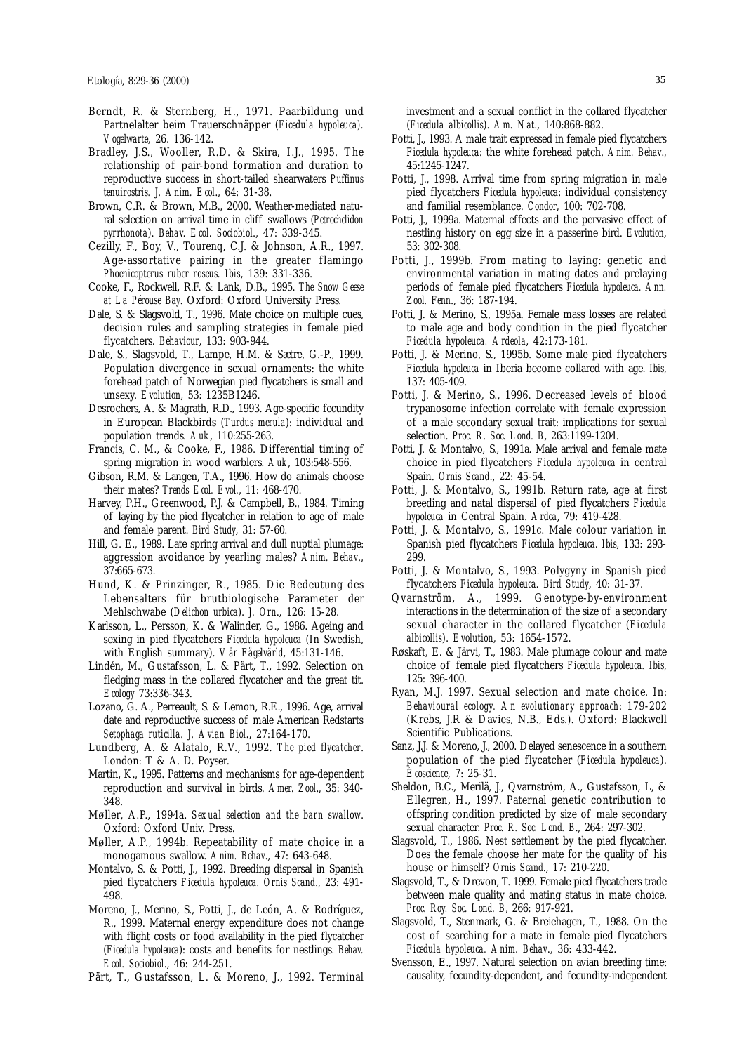- Berndt, R. & Sternberg, H., 1971. Paarbildung und Partnelalter beim Trauerschnäpper (*Ficedula hypoleuca). Vogelwarte*, 26. 136-142.
- Bradley, J.S., Wooller, R.D. & Skira, I.J., 1995. The relationship of pair-bond formation and duration to reproductive success in short-tailed shearwaters *Puffinus tenuirostris. J. Anim. Ecol*., 64: 31-38.
- Brown, C.R. & Brown, M.B., 2000. Weather-mediated natural selection on arrival time in cliff swallows (*Petrochelidon pyrrhonota*). *Behav. Ecol. Sociobiol*., 47: 339-345.
- Cezilly, F., Boy, V., Tourenq, C.J. & Johnson, A.R., 1997. Age-assortative pairing in the greater flamingo *Phoenicopterus ruber roseus. Ibis*, 139: 331-336.
- Cooke, F., Rockwell, R.F. & Lank, D.B., 1995. *The Snow Geese at La Pérouse Bay*. Oxford: Oxford University Press.
- Dale, S. & Slagsvold, T., 1996. Mate choice on multiple cues, decision rules and sampling strategies in female pied flycatchers. *Behaviour*, 133: 903-944.
- Dale, S., Slagsvold, T., Lampe, H.M. & Sætre, G.-P., 1999. Population divergence in sexual ornaments: the white forehead patch of Norwegian pied flycatchers is small and unsexy. *Evolution*, 53: 1235B1246.
- Desrochers, A. & Magrath, R.D., 1993. Age-specific fecundity in European Blackbirds (*Turdus merula*): individual and population trends. *Auk*, 110:255-263.
- Francis, C. M., & Cooke, F., 1986. Differential timing of spring migration in wood warblers. *Auk*, 103:548-556.
- Gibson, R.M. & Langen, T.A., 1996. How do animals choose their mates? *Trends Ecol. Evol.*, 11: 468-470.
- Harvey, P.H., Greenwood, P.J. & Campbell, B., 1984. Timing of laying by the pied flycatcher in relation to age of male and female parent. *Bird Study*, 31: 57-60.
- Hill, G. E., 1989. Late spring arrival and dull nuptial plumage: aggression avoidance by yearling males? *Anim. Behav*., 37:665-673.
- Hund, K. & Prinzinger, R., 1985. Die Bedeutung des Lebensalters für brutbiologische Parameter der Mehlschwabe (*Delichon urbica*). *J. Orn*., 126: 15-28.
- Karlsson, L., Persson, K. & Walinder, G., 1986. Ageing and sexing in pied flycatchers *Ficedula hypoleuca* (In Swedish, with English summary). *Vår Fågelvärld*, 45:131-146.
- Lindén, M., Gustafsson, L. & Pärt, T., 1992. Selection on fledging mass in the collared flycatcher and the great tit. *Ecology* 73:336-343.
- Lozano, G. A., Perreault, S. & Lemon, R.E., 1996. Age, arrival date and reproductive success of male American Redstarts *Setophaga ruticilla*. *J. Avian Biol*., 27:164-170.
- Lundberg, A. & Alatalo, R.V., 1992. *The pied flycatcher*. London: T & A. D. Poyser.
- Martin, K., 1995. Patterns and mechanisms for age-dependent reproduction and survival in birds. *Amer. Zool*., 35: 340- 348.
- Møller, A.P., 1994a. *Sexual selection and the barn swallow*. Oxford: Oxford Univ. Press.
- Møller, A.P., 1994b. Repeatability of mate choice in a monogamous swallow. *Anim. Behav*., 47: 643-648.
- Montalvo, S. & Potti, J., 1992. Breeding dispersal in Spanish pied flycatchers *Ficedula hypoleuca. Ornis Scand*., 23: 491- 498.
- Moreno, J., Merino, S., Potti, J., de León, A. & Rodríguez, R., 1999. Maternal energy expenditure does not change with flight costs or food availability in the pied flycatcher (*Ficedula hypoleuca*): costs and benefits for nestlings. *Behav. Ecol. Sociobiol*., 46: 244-251.
- Pärt, T., Gustafsson, L. & Moreno, J., 1992. Terminal

investment and a sexual conflict in the collared flycatcher (*Ficedula albicollis*). *Am. Nat*., 140:868-882.

- Potti, J., 1993. A male trait expressed in female pied flycatchers *Ficedula hypoleuca*: the white forehead patch. *Anim. Behav*., 45:1245-1247.
- Potti, J., 1998. Arrival time from spring migration in male pied flycatchers *Ficedula hypoleuca*: individual consistency and familial resemblance. *Condor*, 100: 702-708.
- Potti, J., 1999a. Maternal effects and the pervasive effect of nestling history on egg size in a passerine bird. *Evolution*, 53: 302-308.
- Potti, J., 1999b. From mating to laying: genetic and environmental variation in mating dates and prelaying periods of female pied flycatchers *Ficedula hypoleuca. Ann. Zool. Fenn*., 36: 187-194.
- Potti, J. & Merino, S., 1995a. Female mass losses are related to male age and body condition in the pied flycatcher *Ficedula hypoleuca. Ardeola*, 42:173-181.
- Potti, J. & Merino, S., 1995b. Some male pied flycatchers *Ficedula hypoleuca* in Iberia become collared with age. *Ibis*, 137: 405-409.
- Potti, J. & Merino, S., 1996. Decreased levels of blood trypanosome infection correlate with female expression of a male secondary sexual trait: implications for sexual selection. *Proc. R. Soc. Lond. B*, 263:1199-1204.
- Potti, J. & Montalvo, S., 1991a. Male arrival and female mate choice in pied flycatchers *Ficedula hypoleuca* in central Spain. *Ornis Scand*., 22: 45-54.
- Potti, J. & Montalvo, S., 1991b. Return rate, age at first breeding and natal dispersal of pied flycatchers *Ficedula hypoleuca* in Central Spain. *Ardea*, 79: 419-428.
- Potti, J. & Montalvo, S., 1991c. Male colour variation in Spanish pied flycatchers *Ficedula hypoleuca*. *Ibis*, 133: 293- 299.
- Potti, J. & Montalvo, S., 1993. Polygyny in Spanish pied flycatchers *Ficedula hypoleuca. Bird Study*, 40: 31-37.
- Qvarnström, A., 1999. Genotype-by-environment interactions in the determination of the size of a secondary sexual character in the collared flycatcher (*Ficedula albicollis*). *Evolution*, 53: 1654-1572.
- Røskaft, E. & Järvi, T., 1983. Male plumage colour and mate choice of female pied flycatchers *Ficedula hypoleuca. Ibis*, 125: 396-400.
- Ryan, M.J. 1997. Sexual selection and mate choice. In: *Behavioural ecology. An evolutionary approach*: 179-202 (Krebs, J.R & Davies, N.B., Eds.). Oxford: Blackwell Scientific Publications.
- Sanz, J.J. & Moreno, J., 2000. Delayed senescence in a southern population of the pied flycatcher (*Ficedula hypoleuca*). *Écoscience*, 7: 25-31.
- Sheldon, B.C., Merilä, J., Qvarnström, A., Gustafsson, L, & Ellegren, H., 1997. Paternal genetic contribution to offspring condition predicted by size of male secondary sexual character. *Proc. R. Soc. Lond. B*., 264: 297-302.
- Slagsvold, T., 1986. Nest settlement by the pied flycatcher. Does the female choose her mate for the quality of his house or himself? *Ornis Scand*., 17: 210-220.
- Slagsvold, T., & Drevon, T. 1999. Female pied flycatchers trade between male quality and mating status in mate choice. *Proc. Roy. Soc. Lond. B*, 266: 917-921.
- Slagsvold, T., Stenmark, G. & Breiehagen, T., 1988. On the cost of searching for a mate in female pied flycatchers *Ficedula hypoleuca. Anim. Behav*., 36: 433-442.
- Svensson, E., 1997. Natural selection on avian breeding time: causality, fecundity-dependent, and fecundity-independent